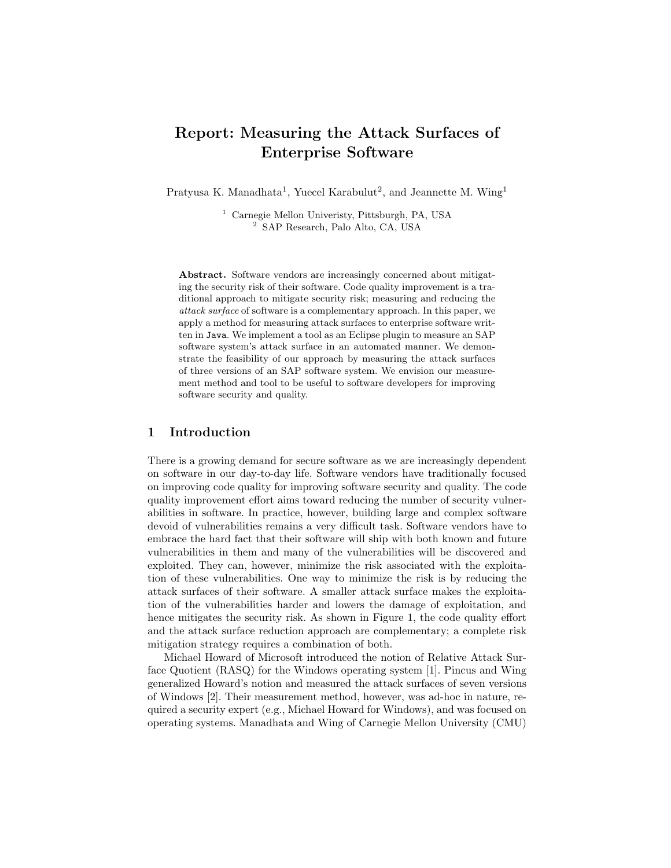# Report: Measuring the Attack Surfaces of Enterprise Software

Pratyusa K. Manadhata<sup>1</sup>, Yuecel Karabulut<sup>2</sup>, and Jeannette M. Wing<sup>1</sup>

<sup>1</sup> Carnegie Mellon Univeristy, Pittsburgh, PA, USA <sup>2</sup> SAP Research, Palo Alto, CA, USA

Abstract. Software vendors are increasingly concerned about mitigating the security risk of their software. Code quality improvement is a traditional approach to mitigate security risk; measuring and reducing the attack surface of software is a complementary approach. In this paper, we apply a method for measuring attack surfaces to enterprise software written in Java. We implement a tool as an Eclipse plugin to measure an SAP software system's attack surface in an automated manner. We demonstrate the feasibility of our approach by measuring the attack surfaces of three versions of an SAP software system. We envision our measurement method and tool to be useful to software developers for improving software security and quality.

## 1 Introduction

There is a growing demand for secure software as we are increasingly dependent on software in our day-to-day life. Software vendors have traditionally focused on improving code quality for improving software security and quality. The code quality improvement effort aims toward reducing the number of security vulnerabilities in software. In practice, however, building large and complex software devoid of vulnerabilities remains a very difficult task. Software vendors have to embrace the hard fact that their software will ship with both known and future vulnerabilities in them and many of the vulnerabilities will be discovered and exploited. They can, however, minimize the risk associated with the exploitation of these vulnerabilities. One way to minimize the risk is by reducing the attack surfaces of their software. A smaller attack surface makes the exploitation of the vulnerabilities harder and lowers the damage of exploitation, and hence mitigates the security risk. As shown in Figure 1, the code quality effort and the attack surface reduction approach are complementary; a complete risk mitigation strategy requires a combination of both.

Michael Howard of Microsoft introduced the notion of Relative Attack Surface Quotient (RASQ) for the Windows operating system [1]. Pincus and Wing generalized Howard's notion and measured the attack surfaces of seven versions of Windows [2]. Their measurement method, however, was ad-hoc in nature, required a security expert (e.g., Michael Howard for Windows), and was focused on operating systems. Manadhata and Wing of Carnegie Mellon University (CMU)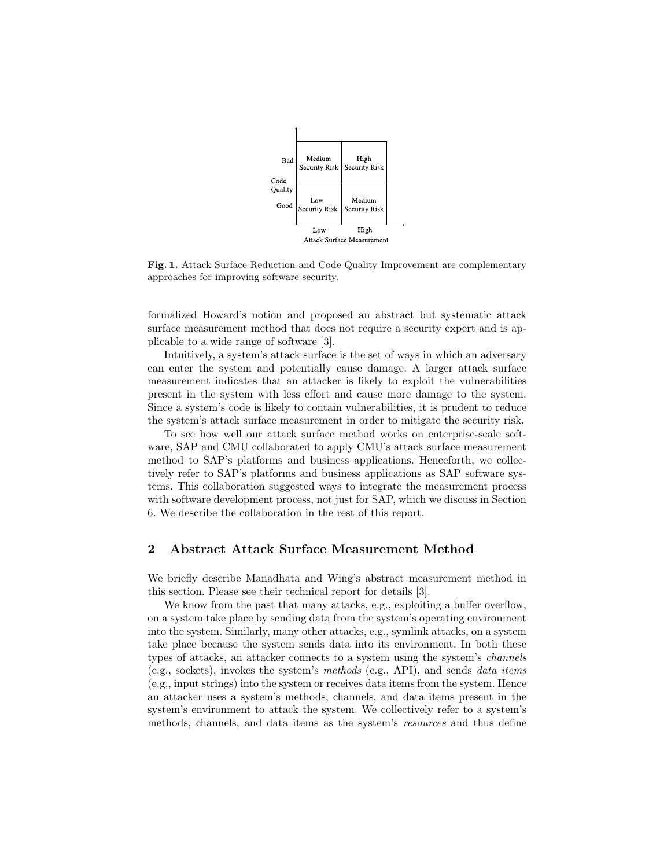

Fig. 1. Attack Surface Reduction and Code Quality Improvement are complementary approaches for improving software security.

formalized Howard's notion and proposed an abstract but systematic attack surface measurement method that does not require a security expert and is applicable to a wide range of software [3].

Intuitively, a system's attack surface is the set of ways in which an adversary can enter the system and potentially cause damage. A larger attack surface measurement indicates that an attacker is likely to exploit the vulnerabilities present in the system with less effort and cause more damage to the system. Since a system's code is likely to contain vulnerabilities, it is prudent to reduce the system's attack surface measurement in order to mitigate the security risk.

To see how well our attack surface method works on enterprise-scale software, SAP and CMU collaborated to apply CMU's attack surface measurement method to SAP's platforms and business applications. Henceforth, we collectively refer to SAP's platforms and business applications as SAP software systems. This collaboration suggested ways to integrate the measurement process with software development process, not just for SAP, which we discuss in Section 6. We describe the collaboration in the rest of this report.

## 2 Abstract Attack Surface Measurement Method

We briefly describe Manadhata and Wing's abstract measurement method in this section. Please see their technical report for details [3].

We know from the past that many attacks, e.g., exploiting a buffer overflow, on a system take place by sending data from the system's operating environment into the system. Similarly, many other attacks, e.g., symlink attacks, on a system take place because the system sends data into its environment. In both these types of attacks, an attacker connects to a system using the system's channels (e.g., sockets), invokes the system's methods (e.g., API), and sends data items (e.g., input strings) into the system or receives data items from the system. Hence an attacker uses a system's methods, channels, and data items present in the system's environment to attack the system. We collectively refer to a system's methods, channels, and data items as the system's resources and thus define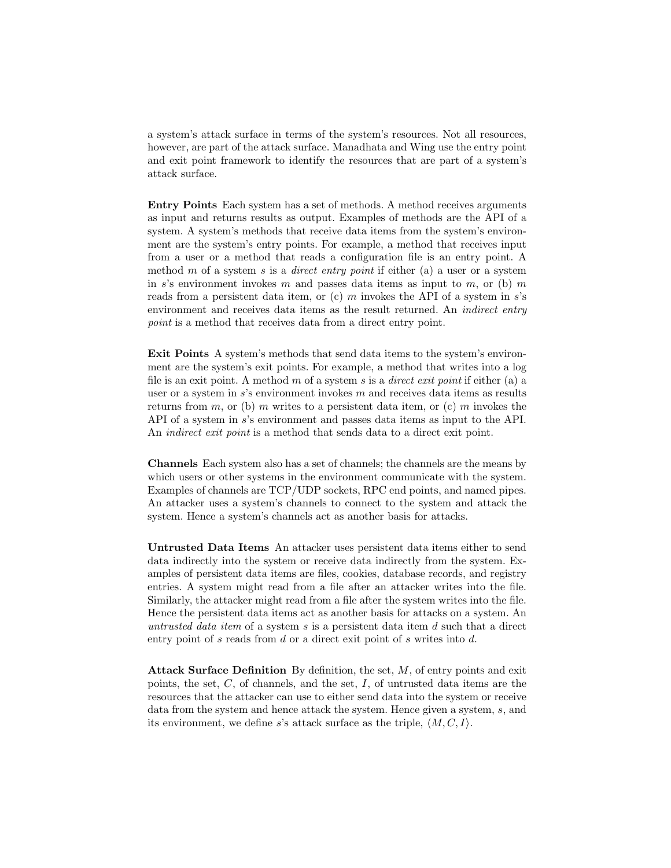a system's attack surface in terms of the system's resources. Not all resources, however, are part of the attack surface. Manadhata and Wing use the entry point and exit point framework to identify the resources that are part of a system's attack surface.

Entry Points Each system has a set of methods. A method receives arguments as input and returns results as output. Examples of methods are the API of a system. A system's methods that receive data items from the system's environment are the system's entry points. For example, a method that receives input from a user or a method that reads a configuration file is an entry point. A method m of a system s is a *direct entry point* if either (a) a user or a system in s's environment invokes m and passes data items as input to m, or (b) m reads from a persistent data item, or (c) m invokes the API of a system in  $s$ 's environment and receives data items as the result returned. An *indirect entry* point is a method that receives data from a direct entry point.

Exit Points A system's methods that send data items to the system's environment are the system's exit points. For example, a method that writes into a log file is an exit point. A method  $m$  of a system  $s$  is a *direct exit point* if either (a) a user or a system in  $s$ 's environment invokes  $m$  and receives data items as results returns from  $m$ , or (b)  $m$  writes to a persistent data item, or (c)  $m$  invokes the API of a system in s's environment and passes data items as input to the API. An *indirect exit point* is a method that sends data to a direct exit point.

Channels Each system also has a set of channels; the channels are the means by which users or other systems in the environment communicate with the system. Examples of channels are TCP/UDP sockets, RPC end points, and named pipes. An attacker uses a system's channels to connect to the system and attack the system. Hence a system's channels act as another basis for attacks.

Untrusted Data Items An attacker uses persistent data items either to send data indirectly into the system or receive data indirectly from the system. Examples of persistent data items are files, cookies, database records, and registry entries. A system might read from a file after an attacker writes into the file. Similarly, the attacker might read from a file after the system writes into the file. Hence the persistent data items act as another basis for attacks on a system. An untrusted data item of a system  $s$  is a persistent data item  $d$  such that a direct entry point of s reads from d or a direct exit point of s writes into d.

**Attack Surface Definition** By definition, the set,  $M$ , of entry points and exit points, the set, C, of channels, and the set, I, of untrusted data items are the resources that the attacker can use to either send data into the system or receive data from the system and hence attack the system. Hence given a system, s, and its environment, we define s's attack surface as the triple,  $\langle M, C, I \rangle$ .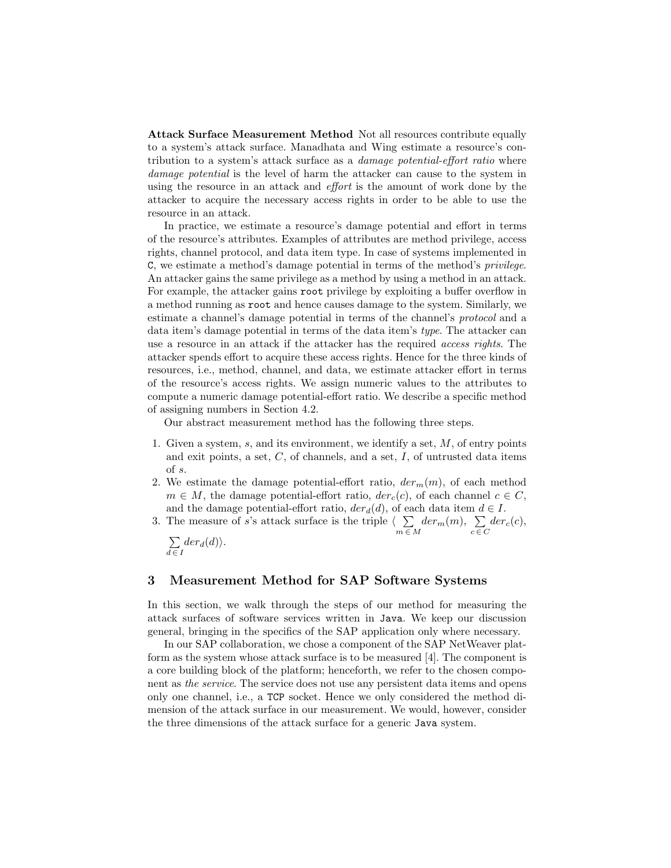Attack Surface Measurement Method Not all resources contribute equally to a system's attack surface. Manadhata and Wing estimate a resource's contribution to a system's attack surface as a damage potential-effort ratio where damage potential is the level of harm the attacker can cause to the system in using the resource in an attack and effort is the amount of work done by the attacker to acquire the necessary access rights in order to be able to use the resource in an attack.

In practice, we estimate a resource's damage potential and effort in terms of the resource's attributes. Examples of attributes are method privilege, access rights, channel protocol, and data item type. In case of systems implemented in C, we estimate a method's damage potential in terms of the method's privilege. An attacker gains the same privilege as a method by using a method in an attack. For example, the attacker gains root privilege by exploiting a buffer overflow in a method running as root and hence causes damage to the system. Similarly, we estimate a channel's damage potential in terms of the channel's protocol and a data item's damage potential in terms of the data item's type. The attacker can use a resource in an attack if the attacker has the required access rights. The attacker spends effort to acquire these access rights. Hence for the three kinds of resources, i.e., method, channel, and data, we estimate attacker effort in terms of the resource's access rights. We assign numeric values to the attributes to compute a numeric damage potential-effort ratio. We describe a specific method of assigning numbers in Section 4.2.

Our abstract measurement method has the following three steps.

- 1. Given a system, s, and its environment, we identify a set, M, of entry points and exit points, a set,  $C$ , of channels, and a set,  $I$ , of untrusted data items of s.
- 2. We estimate the damage potential-effort ratio,  $der_m(m)$ , of each method  $m \in M$ , the damage potential-effort ratio,  $der_c(c)$ , of each channel  $c \in C$ , and the damage potential-effort ratio,  $der_d(d)$ , of each data item  $d \in I$ .
- 3. The measure of s's attack surface is the triple  $\langle \sum$  $\sum_{m \in M} der_m(m), \sum_{c \in C} der_c(c),$

$$
\sum_{d \in I} der_d(d) \rangle.
$$

## 3 Measurement Method for SAP Software Systems

In this section, we walk through the steps of our method for measuring the attack surfaces of software services written in Java. We keep our discussion general, bringing in the specifics of the SAP application only where necessary.

In our SAP collaboration, we chose a component of the SAP NetWeaver platform as the system whose attack surface is to be measured [4]. The component is a core building block of the platform; henceforth, we refer to the chosen component as the service. The service does not use any persistent data items and opens only one channel, i.e., a TCP socket. Hence we only considered the method dimension of the attack surface in our measurement. We would, however, consider the three dimensions of the attack surface for a generic Java system.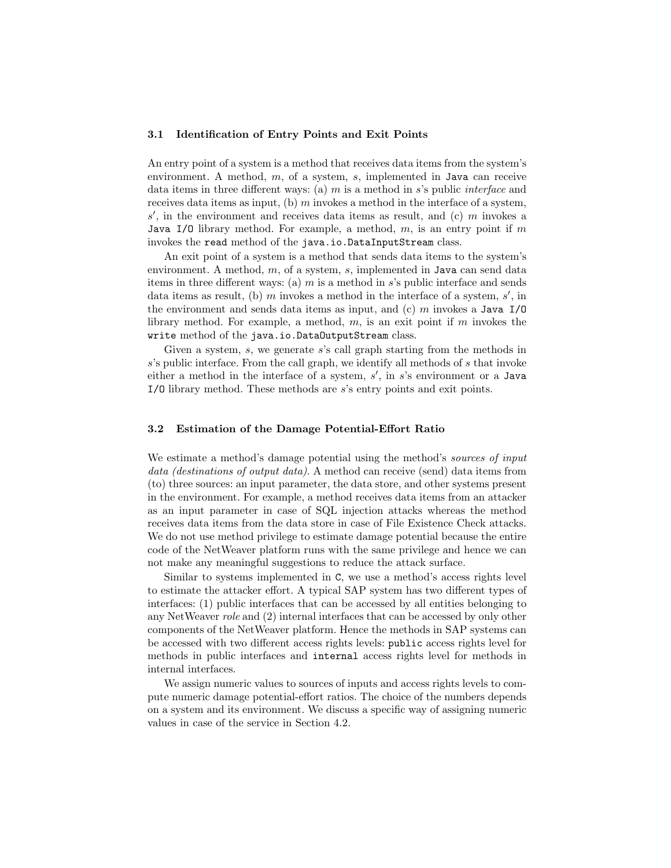#### 3.1 Identification of Entry Points and Exit Points

An entry point of a system is a method that receives data items from the system's environment. A method, m, of a system, s, implemented in Java can receive data items in three different ways: (a)  $m$  is a method in s's public *interface* and receives data items as input, (b)  $m$  invokes a method in the interface of a system,  $s'$ , in the environment and receives data items as result, and (c) m invokes a Java I/O library method. For example, a method,  $m$ , is an entry point if m invokes the read method of the java.io.DataInputStream class.

An exit point of a system is a method that sends data items to the system's environment. A method,  $m$ , of a system,  $s$ , implemented in Java can send data items in three different ways: (a)  $m$  is a method in s's public interface and sends data items as result, (b)  $m$  invokes a method in the interface of a system,  $s'$ , in the environment and sends data items as input, and (c) m invokes a Java  $I/O$ library method. For example, a method,  $m$ , is an exit point if  $m$  invokes the write method of the java.io.DataOutputStream class.

Given a system, s, we generate s's call graph starting from the methods in s's public interface. From the call graph, we identify all methods of s that invoke either a method in the interface of a system,  $s'$ , in  $s'$ s environment or a Java I/O library method. These methods are s's entry points and exit points.

#### 3.2 Estimation of the Damage Potential-Effort Ratio

We estimate a method's damage potential using the method's sources of input data (destinations of output data). A method can receive (send) data items from (to) three sources: an input parameter, the data store, and other systems present in the environment. For example, a method receives data items from an attacker as an input parameter in case of SQL injection attacks whereas the method receives data items from the data store in case of File Existence Check attacks. We do not use method privilege to estimate damage potential because the entire code of the NetWeaver platform runs with the same privilege and hence we can not make any meaningful suggestions to reduce the attack surface.

Similar to systems implemented in C, we use a method's access rights level to estimate the attacker effort. A typical SAP system has two different types of interfaces: (1) public interfaces that can be accessed by all entities belonging to any NetWeaver role and (2) internal interfaces that can be accessed by only other components of the NetWeaver platform. Hence the methods in SAP systems can be accessed with two different access rights levels: public access rights level for methods in public interfaces and internal access rights level for methods in internal interfaces.

We assign numeric values to sources of inputs and access rights levels to compute numeric damage potential-effort ratios. The choice of the numbers depends on a system and its environment. We discuss a specific way of assigning numeric values in case of the service in Section 4.2.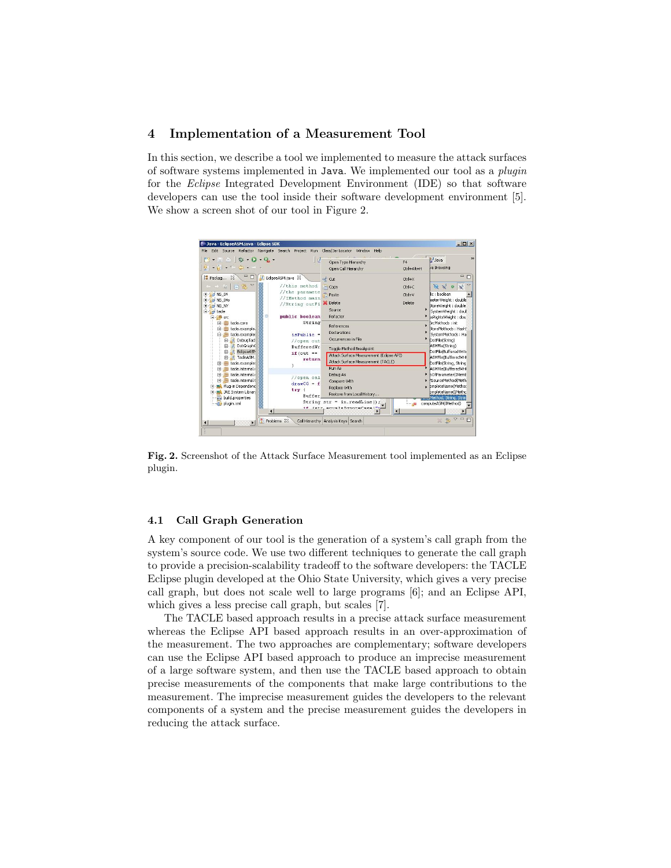## 4 Implementation of a Measurement Tool

In this section, we describe a tool we implemented to measure the attack surfaces of software systems implemented in Java. We implemented our tool as a plugin for the Eclipse Integrated Development Environment (IDE) so that software developers can use the tool inside their software development environment [5]. We show a screen shot of our tool in Figure 2.



Fig. 2. Screenshot of the Attack Surface Measurement tool implemented as an Eclipse plugin.

#### 4.1 Call Graph Generation

A key component of our tool is the generation of a system's call graph from the system's source code. We use two different techniques to generate the call graph to provide a precision-scalability tradeoff to the software developers: the TACLE Eclipse plugin developed at the Ohio State University, which gives a very precise call graph, but does not scale well to large programs [6]; and an Eclipse API, which gives a less precise call graph, but scales [7].

The TACLE based approach results in a precise attack surface measurement whereas the Eclipse API based approach results in an over-approximation of the measurement. The two approaches are complementary; software developers can use the Eclipse API based approach to produce an imprecise measurement of a large software system, and then use the TACLE based approach to obtain precise measurements of the components that make large contributions to the measurement. The imprecise measurement guides the developers to the relevant components of a system and the precise measurement guides the developers in reducing the attack surface.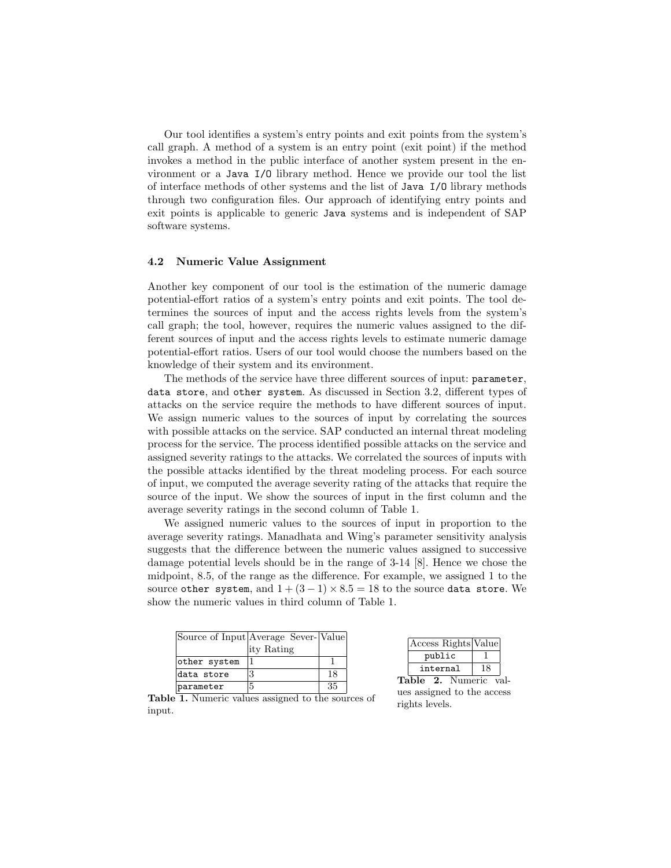Our tool identifies a system's entry points and exit points from the system's call graph. A method of a system is an entry point (exit point) if the method invokes a method in the public interface of another system present in the environment or a Java I/O library method. Hence we provide our tool the list of interface methods of other systems and the list of Java I/O library methods through two configuration files. Our approach of identifying entry points and exit points is applicable to generic Java systems and is independent of SAP software systems.

#### 4.2 Numeric Value Assignment

Another key component of our tool is the estimation of the numeric damage potential-effort ratios of a system's entry points and exit points. The tool determines the sources of input and the access rights levels from the system's call graph; the tool, however, requires the numeric values assigned to the different sources of input and the access rights levels to estimate numeric damage potential-effort ratios. Users of our tool would choose the numbers based on the knowledge of their system and its environment.

The methods of the service have three different sources of input: parameter, data store, and other system. As discussed in Section 3.2, different types of attacks on the service require the methods to have different sources of input. We assign numeric values to the sources of input by correlating the sources with possible attacks on the service. SAP conducted an internal threat modeling process for the service. The process identified possible attacks on the service and assigned severity ratings to the attacks. We correlated the sources of inputs with the possible attacks identified by the threat modeling process. For each source of input, we computed the average severity rating of the attacks that require the source of the input. We show the sources of input in the first column and the average severity ratings in the second column of Table 1.

We assigned numeric values to the sources of input in proportion to the average severity ratings. Manadhata and Wing's parameter sensitivity analysis suggests that the difference between the numeric values assigned to successive damage potential levels should be in the range of 3-14 [8]. Hence we chose the midpoint, 8.5, of the range as the difference. For example, we assigned 1 to the source other system, and  $1 + (3 - 1) \times 8.5 = 18$  to the source data store. We show the numeric values in third column of Table 1.

|              | Source of Input Average Sever-Value |    |
|--------------|-------------------------------------|----|
|              | ity Rating                          |    |
| other system |                                     |    |
| data store   | 3                                   | 18 |
| parameter    | 5                                   | 35 |

| Access Rights Value |  |
|---------------------|--|
| public              |  |
| internal            |  |

Table 2. Numeric values assigned to the access rights levels.

Table 1. Numeric values assigned to the sources of input.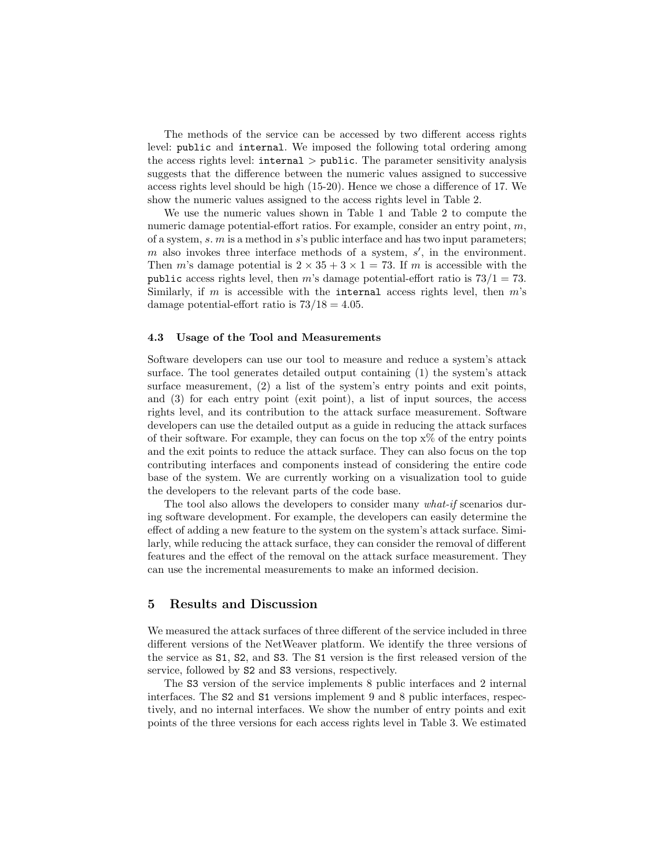The methods of the service can be accessed by two different access rights level: public and internal. We imposed the following total ordering among the access rights level: internal > public. The parameter sensitivity analysis suggests that the difference between the numeric values assigned to successive access rights level should be high (15-20). Hence we chose a difference of 17. We show the numeric values assigned to the access rights level in Table 2.

We use the numeric values shown in Table 1 and Table 2 to compute the numeric damage potential-effort ratios. For example, consider an entry point,  $m$ , of a system,  $s. m$  is a method in  $s$ 's public interface and has two input parameters; m also invokes three interface methods of a system,  $s'$ , in the environment. Then m's damage potential is  $2 \times 35 + 3 \times 1 = 73$ . If m is accessible with the public access rights level, then m's damage potential-effort ratio is  $73/1 = 73$ . Similarly, if m is accessible with the internal access rights level, then  $m$ 's damage potential-effort ratio is  $73/18 = 4.05$ .

#### 4.3 Usage of the Tool and Measurements

Software developers can use our tool to measure and reduce a system's attack surface. The tool generates detailed output containing (1) the system's attack surface measurement, (2) a list of the system's entry points and exit points, and (3) for each entry point (exit point), a list of input sources, the access rights level, and its contribution to the attack surface measurement. Software developers can use the detailed output as a guide in reducing the attack surfaces of their software. For example, they can focus on the top  $x\%$  of the entry points and the exit points to reduce the attack surface. They can also focus on the top contributing interfaces and components instead of considering the entire code base of the system. We are currently working on a visualization tool to guide the developers to the relevant parts of the code base.

The tool also allows the developers to consider many *what-if* scenarios during software development. For example, the developers can easily determine the effect of adding a new feature to the system on the system's attack surface. Similarly, while reducing the attack surface, they can consider the removal of different features and the effect of the removal on the attack surface measurement. They can use the incremental measurements to make an informed decision.

## 5 Results and Discussion

We measured the attack surfaces of three different of the service included in three different versions of the NetWeaver platform. We identify the three versions of the service as S1, S2, and S3. The S1 version is the first released version of the service, followed by S2 and S3 versions, respectively.

The S3 version of the service implements 8 public interfaces and 2 internal interfaces. The S2 and S1 versions implement 9 and 8 public interfaces, respectively, and no internal interfaces. We show the number of entry points and exit points of the three versions for each access rights level in Table 3. We estimated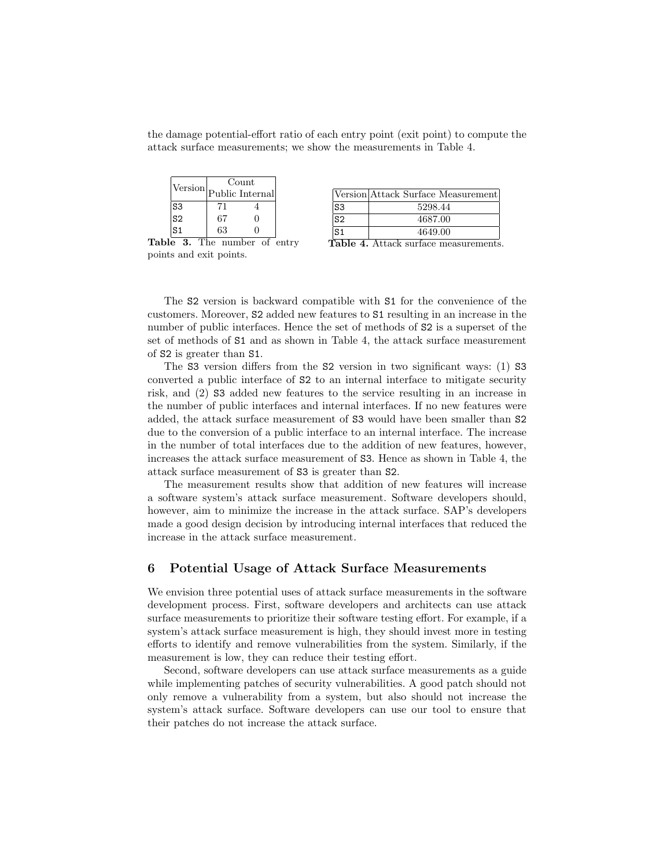the damage potential-effort ratio of each entry point (exit point) to compute the attack surface measurements; we show the measurements in Table 4.

|                 | Count           |   |
|-----------------|-----------------|---|
| Version         | Public Internal |   |
| S3              | 71              |   |
| $\overline{S2}$ | 67              | 0 |
| S <sub>1</sub>  | 63              |   |

|                | Version Attack Surface Measurement |
|----------------|------------------------------------|
| S <sub>3</sub> | 5298.44                            |
| S <sub>2</sub> | 4687.00                            |
| S <sub>1</sub> | 4649.00                            |

Table 3. The number of entry points and exit points.

Table 4. Attack surface measurements.

The S2 version is backward compatible with S1 for the convenience of the customers. Moreover, S2 added new features to S1 resulting in an increase in the number of public interfaces. Hence the set of methods of S2 is a superset of the set of methods of S1 and as shown in Table 4, the attack surface measurement of S2 is greater than S1.

The S3 version differs from the S2 version in two significant ways: (1) S3 converted a public interface of S2 to an internal interface to mitigate security risk, and (2) S3 added new features to the service resulting in an increase in the number of public interfaces and internal interfaces. If no new features were added, the attack surface measurement of S3 would have been smaller than S2 due to the conversion of a public interface to an internal interface. The increase in the number of total interfaces due to the addition of new features, however, increases the attack surface measurement of S3. Hence as shown in Table 4, the attack surface measurement of S3 is greater than S2.

The measurement results show that addition of new features will increase a software system's attack surface measurement. Software developers should, however, aim to minimize the increase in the attack surface. SAP's developers made a good design decision by introducing internal interfaces that reduced the increase in the attack surface measurement.

## 6 Potential Usage of Attack Surface Measurements

We envision three potential uses of attack surface measurements in the software development process. First, software developers and architects can use attack surface measurements to prioritize their software testing effort. For example, if a system's attack surface measurement is high, they should invest more in testing efforts to identify and remove vulnerabilities from the system. Similarly, if the measurement is low, they can reduce their testing effort.

Second, software developers can use attack surface measurements as a guide while implementing patches of security vulnerabilities. A good patch should not only remove a vulnerability from a system, but also should not increase the system's attack surface. Software developers can use our tool to ensure that their patches do not increase the attack surface.